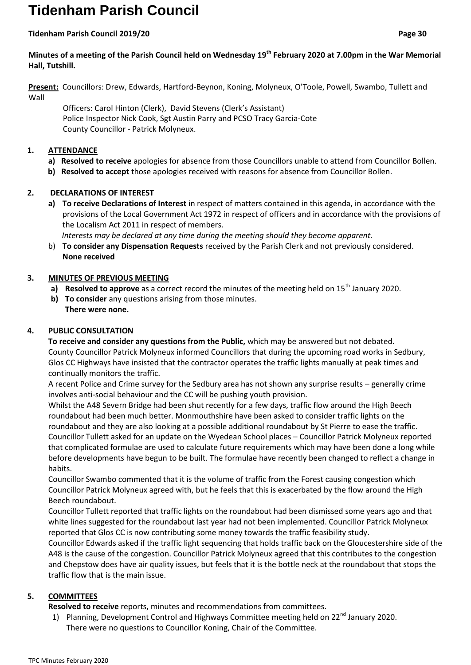# **Tidenham Parish Council**

#### **Tidenham Parish Council 2019/20 Page 30**

## **Minutes of a meeting of the Parish Council held on Wednesday 19th February 2020 at 7.00pm in the War Memorial Hall, Tutshill.**

**Present:** Councillors: Drew, Edwards, Hartford-Beynon, Koning, Molyneux, O'Toole, Powell, Swambo, Tullett and Wall

 Officers: Carol Hinton (Clerk), David Stevens (Clerk's Assistant) Police Inspector Nick Cook, Sgt Austin Parry and PCSO Tracy Garcia-Cote County Councillor - Patrick Molyneux.

#### **1. ATTENDANCE**

- **a) Resolved to receive** apologies for absence from those Councillors unable to attend from Councillor Bollen.
- **b) Resolved to accept** those apologies received with reasons for absence from Councillor Bollen.

## **2. DECLARATIONS OF INTEREST**

**a) To receive Declarations of Interest** in respect of matters contained in this agenda, in accordance with the provisions of the Local Government Act 1972 in respect of officers and in accordance with the provisions of the Localism Act 2011 in respect of members.

 *Interests may be declared at any time during the meeting should they become apparent.*

b) **To consider any Dispensation Requests** received by the Parish Clerk and not previously considered. **None received**

#### **3. MINUTES OF PREVIOUS MEETING**

- a) **Resolved to approve** as a correct record the minutes of the meeting held on 15<sup>th</sup> January 2020.
- **b) To consider** any questions arising from those minutes. **There were none.**

#### **4. PUBLIC CONSULTATION**

**To receive and consider any questions from the Public,** which may be answered but not debated. County Councillor Patrick Molyneux informed Councillors that during the upcoming road works in Sedbury, Glos CC Highways have insisted that the contractor operates the traffic lights manually at peak times and continually monitors the traffic.

A recent Police and Crime survey for the Sedbury area has not shown any surprise results – generally crime involves anti-social behaviour and the CC will be pushing youth provision.

Whilst the A48 Severn Bridge had been shut recently for a few days, traffic flow around the High Beech roundabout had been much better. Monmouthshire have been asked to consider traffic lights on the roundabout and they are also looking at a possible additional roundabout by St Pierre to ease the traffic. Councillor Tullett asked for an update on the Wyedean School places – Councillor Patrick Molyneux reported that complicated formulae are used to calculate future requirements which may have been done a long while before developments have begun to be built. The formulae have recently been changed to reflect a change in habits.

Councillor Swambo commented that it is the volume of traffic from the Forest causing congestion which Councillor Patrick Molyneux agreed with, but he feels that this is exacerbated by the flow around the High Beech roundabout.

Councillor Tullett reported that traffic lights on the roundabout had been dismissed some years ago and that white lines suggested for the roundabout last year had not been implemented. Councillor Patrick Molyneux reported that Glos CC is now contributing some money towards the traffic feasibility study.

Councillor Edwards asked if the traffic light sequencing that holds traffic back on the Gloucestershire side of the A48 is the cause of the congestion. Councillor Patrick Molyneux agreed that this contributes to the congestion and Chepstow does have air quality issues, but feels that it is the bottle neck at the roundabout that stops the traffic flow that is the main issue.

## **5. COMMITTEES**

- **Resolved to receive** reports, minutes and recommendations from committees.
- 1) Planning, Development Control and Highways Committee meeting held on 22<sup>nd</sup> January 2020. There were no questions to Councillor Koning, Chair of the Committee.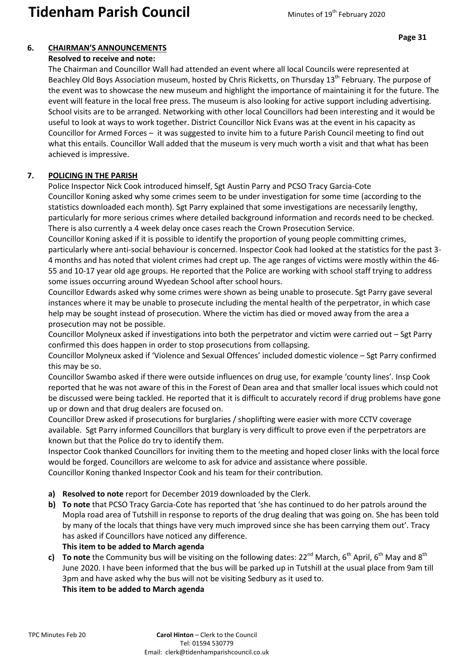## **6. CHAIRMAN'S ANNOUNCEMENTS**

#### **Resolved to receive and note:**

The Chairman and Councillor Wall had attended an event where all local Councils were represented at Beachley Old Boys Association museum, hosted by Chris Ricketts, on Thursday 13<sup>th</sup> February. The purpose of the event was to showcase the new museum and highlight the importance of maintaining it for the future. The event will feature in the local free press. The museum is also looking for active support including advertising. School visits are to be arranged. Networking with other local Councillors had been interesting and it would be useful to look at ways to work together. District Councillor Nick Evans was at the event in his capacity as Councillor for Armed Forces – it was suggested to invite him to a future Parish Council meeting to find out what this entails. Councillor Wall added that the museum is very much worth a visit and that what has been achieved is impressive.

## **7. POLICING IN THE PARISH**

Police Inspector Nick Cook introduced himself, Sgt Austin Parry and PCSO Tracy Garcia-Cote Councillor Koning asked why some crimes seem to be under investigation for some time (according to the statistics downloaded each month). Sgt Parry explained that some investigations are necessarily lengthy, particularly for more serious crimes where detailed background information and records need to be checked. There is also currently a 4 week delay once cases reach the Crown Prosecution Service.

Councillor Koning asked if it is possible to identify the proportion of young people committing crimes, particularly where anti-social behaviour is concerned. Inspector Cook had looked at the statistics for the past 3- 4 months and has noted that violent crimes had crept up. The age ranges of victims were mostly within the 46- 55 and 10-17 year old age groups. He reported that the Police are working with school staff trying to address some issues occurring around Wyedean School after school hours.

Councillor Edwards asked why some crimes were shown as being unable to prosecute. Sgt Parry gave several instances where it may be unable to prosecute including the mental health of the perpetrator, in which case help may be sought instead of prosecution. Where the victim has died or moved away from the area a prosecution may not be possible.

Councillor Molyneux asked if investigations into both the perpetrator and victim were carried out – Sgt Parry confirmed this does happen in order to stop prosecutions from collapsing.

Councillor Molyneux asked if 'Violence and Sexual Offences' included domestic violence – Sgt Parry confirmed this may be so.

Councillor Swambo asked if there were outside influences on drug use, for example 'county lines'. Insp Cook reported that he was not aware of this in the Forest of Dean area and that smaller local issues which could not be discussed were being tackled. He reported that it is difficult to accurately record if drug problems have gone up or down and that drug dealers are focused on.

Councillor Drew asked if prosecutions for burglaries / shoplifting were easier with more CCTV coverage available. Sgt Parry informed Councillors that burglary is very difficult to prove even if the perpetrators are known but that the Police do try to identify them.

Inspector Cook thanked Councillors for inviting them to the meeting and hoped closer links with the local force would be forged. Councillors are welcome to ask for advice and assistance where possible. Councillor Koning thanked Inspector Cook and his team for their contribution.

- **a) Resolved to note** report for December 2019 downloaded by the Clerk.
- **b) To note** that PCSO Tracy Garcia-Cote has reported that 'she has continued to do her patrols around the Mopla road area of Tutshill in response to reports of the drug dealing that was going on. She has been told by many of the locals that things have very much improved since she has been carrying them out'. Tracy has asked if Councillors have noticed any difference.
	- **This item to be added to March agenda**
- **c) To note** the Community bus will be visiting on the following dates:  $22^{nd}$  March,  $6^{th}$  April,  $6^{th}$  May and  $8^{th}$ June 2020. I have been informed that the bus will be parked up in Tutshill at the usual place from 9am till 3pm and have asked why the bus will not be visiting Sedbury as it used to. **This item to be added to March agenda**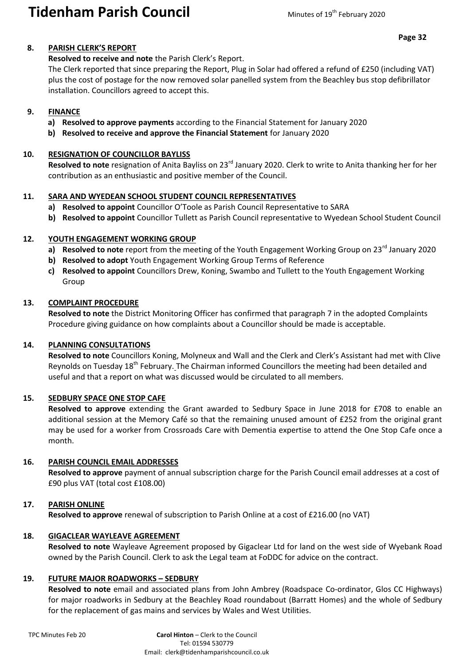## **Tidenham Parish Council** Minutes of 19<sup>th</sup> February 2020

#### **8. PARISH CLERK'S REPORT**

#### **Resolved to receive and note** the Parish Clerk's Report.

The Clerk reported that since preparing the Report, Plug in Solar had offered a refund of £250 (including VAT) plus the cost of postage for the now removed solar panelled system from the Beachley bus stop defibrillator installation. Councillors agreed to accept this.

#### **9. FINANCE**

- **a) Resolved to approve payments** according to the Financial Statement for January 2020
- **b) Resolved to receive and approve the Financial Statement** for January 2020

#### **10. RESIGNATION OF COUNCILLOR BAYLISS**

**Resolved to note** resignation of Anita Bayliss on 23rd January 2020. Clerk to write to Anita thanking her for her contribution as an enthusiastic and positive member of the Council.

#### **11. SARA AND WYEDEAN SCHOOL STUDENT COUNCIL REPRESENTATIVES**

- **a) Resolved to appoint** Councillor O'Toole as Parish Council Representative to SARA
- **b) Resolved to appoint** Councillor Tullett as Parish Council representative to Wyedean School Student Council

#### **12. YOUTH ENGAGEMENT WORKING GROUP**

- a) Resolved to note report from the meeting of the Youth Engagement Working Group on 23<sup>rd</sup> January 2020
- **b) Resolved to adopt** Youth Engagement Working Group Terms of Reference
- **c) Resolved to appoint** Councillors Drew, Koning, Swambo and Tullett to the Youth Engagement Working Group

#### **13. COMPLAINT PROCEDURE**

**Resolved to note** the District Monitoring Officer has confirmed that paragraph 7 in the adopted Complaints Procedure giving guidance on how complaints about a Councillor should be made is acceptable.

#### **14. PLANNING CONSULTATIONS**

**Resolved to note** Councillors Koning, Molyneux and Wall and the Clerk and Clerk's Assistant had met with Clive Reynolds on Tuesday 18<sup>th</sup> February. The Chairman informed Councillors the meeting had been detailed and useful and that a report on what was discussed would be circulated to all members.

#### **15. SEDBURY SPACE ONE STOP CAFE**

**Resolved to approve** extending the Grant awarded to Sedbury Space in June 2018 for £708 to enable an additional session at the Memory Café so that the remaining unused amount of £252 from the original grant may be used for a worker from Crossroads Care with Dementia expertise to attend the One Stop Cafe once a month.

#### **16. PARISH COUNCIL EMAIL ADDRESSES**

**Resolved to approve** payment of annual subscription charge for the Parish Council email addresses at a cost of £90 plus VAT (total cost £108.00)

## **17. PARISH ONLINE**

**Resolved to approve** renewal of subscription to Parish Online at a cost of £216.00 (no VAT)

#### **18. GIGACLEAR WAYLEAVE AGREEMENT**

**Resolved to note** Wayleave Agreement proposed by Gigaclear Ltd for land on the west side of Wyebank Road owned by the Parish Council. Clerk to ask the Legal team at FoDDC for advice on the contract.

#### **19. FUTURE MAJOR ROADWORKS – SEDBURY**

**Resolved to note** email and associated plans from John Ambrey (Roadspace Co-ordinator, Glos CC Highways) for major roadworks in Sedbury at the Beachley Road roundabout (Barratt Homes) and the whole of Sedbury for the replacement of gas mains and services by Wales and West Utilities.